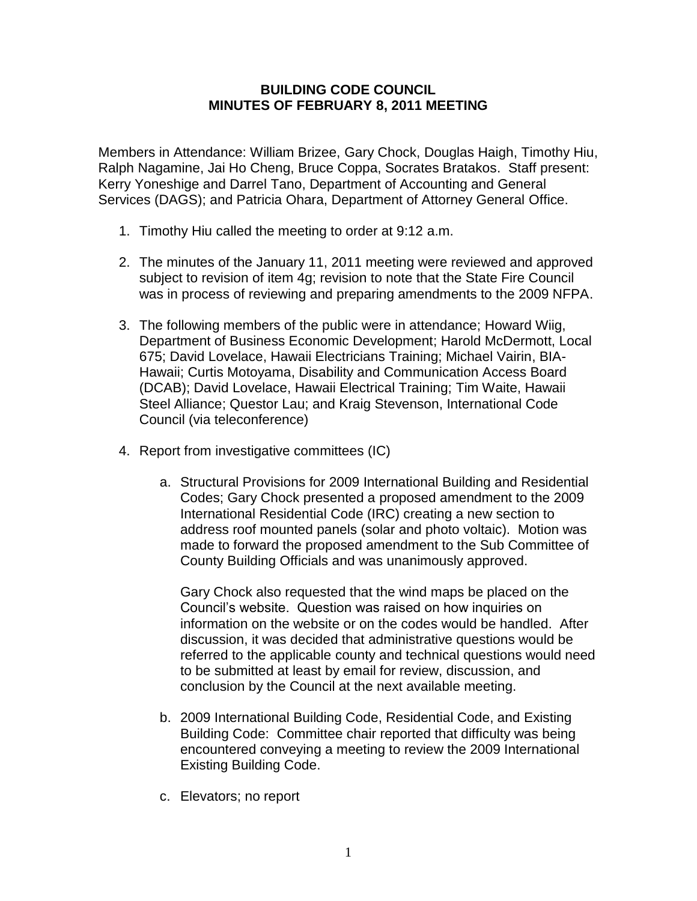## **BUILDING CODE COUNCIL MINUTES OF FEBRUARY 8, 2011 MEETING**

Members in Attendance: William Brizee, Gary Chock, Douglas Haigh, Timothy Hiu, Ralph Nagamine, Jai Ho Cheng, Bruce Coppa, Socrates Bratakos. Staff present: Kerry Yoneshige and Darrel Tano, Department of Accounting and General Services (DAGS); and Patricia Ohara, Department of Attorney General Office.

- 1. Timothy Hiu called the meeting to order at 9:12 a.m.
- 2. The minutes of the January 11, 2011 meeting were reviewed and approved subject to revision of item 4g; revision to note that the State Fire Council was in process of reviewing and preparing amendments to the 2009 NFPA.
- 3. The following members of the public were in attendance; Howard Wiig, Department of Business Economic Development; Harold McDermott, Local 675; David Lovelace, Hawaii Electricians Training; Michael Vairin, BIA-Hawaii; Curtis Motoyama, Disability and Communication Access Board (DCAB); David Lovelace, Hawaii Electrical Training; Tim Waite, Hawaii Steel Alliance; Questor Lau; and Kraig Stevenson, International Code Council (via teleconference)
- 4. Report from investigative committees (IC)
	- a. Structural Provisions for 2009 International Building and Residential Codes; Gary Chock presented a proposed amendment to the 2009 International Residential Code (IRC) creating a new section to address roof mounted panels (solar and photo voltaic). Motion was made to forward the proposed amendment to the Sub Committee of County Building Officials and was unanimously approved.

Gary Chock also requested that the wind maps be placed on the Council's website. Question was raised on how inquiries on information on the website or on the codes would be handled. After discussion, it was decided that administrative questions would be referred to the applicable county and technical questions would need to be submitted at least by email for review, discussion, and conclusion by the Council at the next available meeting.

- b. 2009 International Building Code, Residential Code, and Existing Building Code: Committee chair reported that difficulty was being encountered conveying a meeting to review the 2009 International Existing Building Code.
- c. Elevators; no report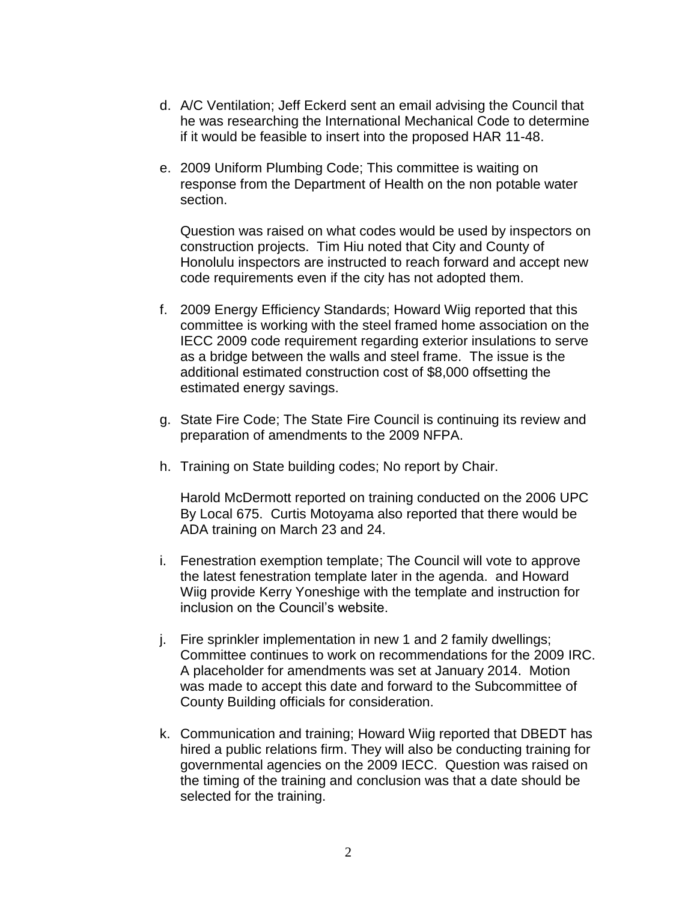- d. A/C Ventilation; Jeff Eckerd sent an email advising the Council that he was researching the International Mechanical Code to determine if it would be feasible to insert into the proposed HAR 11-48.
- e. 2009 Uniform Plumbing Code; This committee is waiting on response from the Department of Health on the non potable water section.

Question was raised on what codes would be used by inspectors on construction projects. Tim Hiu noted that City and County of Honolulu inspectors are instructed to reach forward and accept new code requirements even if the city has not adopted them.

- f. 2009 Energy Efficiency Standards; Howard Wiig reported that this committee is working with the steel framed home association on the IECC 2009 code requirement regarding exterior insulations to serve as a bridge between the walls and steel frame. The issue is the additional estimated construction cost of \$8,000 offsetting the estimated energy savings.
- g. State Fire Code; The State Fire Council is continuing its review and preparation of amendments to the 2009 NFPA.
- h. Training on State building codes; No report by Chair.

 Harold McDermott reported on training conducted on the 2006 UPC By Local 675. Curtis Motoyama also reported that there would be ADA training on March 23 and 24.

- i. Fenestration exemption template; The Council will vote to approve the latest fenestration template later in the agenda. and Howard Wiig provide Kerry Yoneshige with the template and instruction for inclusion on the Council's website.
- j. Fire sprinkler implementation in new 1 and 2 family dwellings; Committee continues to work on recommendations for the 2009 IRC. A placeholder for amendments was set at January 2014. Motion was made to accept this date and forward to the Subcommittee of County Building officials for consideration.
- k. Communication and training; Howard Wiig reported that DBEDT has hired a public relations firm. They will also be conducting training for governmental agencies on the 2009 IECC. Question was raised on the timing of the training and conclusion was that a date should be selected for the training.